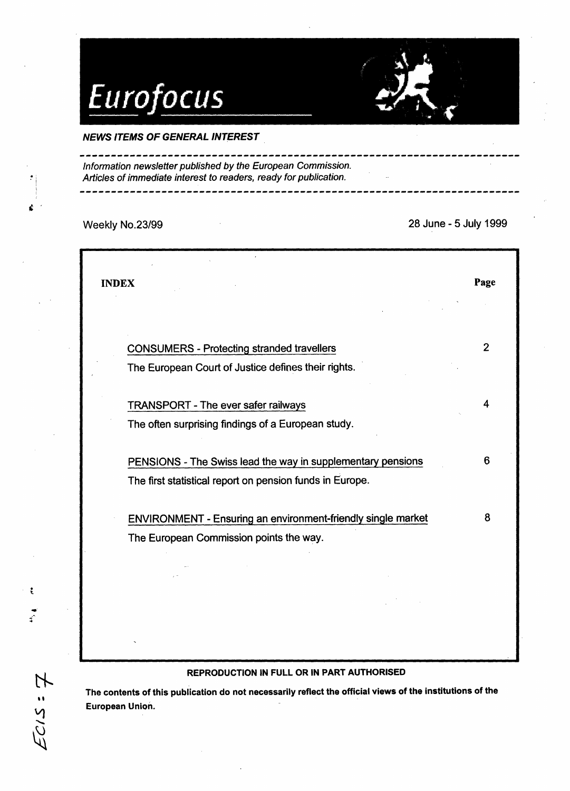# Eurofocus

## NEWS ITEMS OF GENERAL INTEREST

Information newsletter published by the European Commission. Articles of immediate interest to readers, ready for publication.

 $\ddot{\mathbf{r}}$ 

 $E$ cis:7

Weekly No.23/99 28 June - 5 July 1999

| <b>CONSUMERS - Protecting stranded travellers</b><br>The European Court of Justice defines their rights.<br><b>TRANSPORT - The ever safer railways</b><br>The often surprising findings of a European study.<br>PENSIONS - The Swiss lead the way in supplementary pensions<br>The first statistical report on pension funds in Europe.<br>ENVIRONMENT - Ensuring an environment-friendly single market<br>The European Commission points the way. | $\overline{2}$ |
|----------------------------------------------------------------------------------------------------------------------------------------------------------------------------------------------------------------------------------------------------------------------------------------------------------------------------------------------------------------------------------------------------------------------------------------------------|----------------|
|                                                                                                                                                                                                                                                                                                                                                                                                                                                    |                |
|                                                                                                                                                                                                                                                                                                                                                                                                                                                    |                |
|                                                                                                                                                                                                                                                                                                                                                                                                                                                    |                |
|                                                                                                                                                                                                                                                                                                                                                                                                                                                    | 4              |
|                                                                                                                                                                                                                                                                                                                                                                                                                                                    |                |
|                                                                                                                                                                                                                                                                                                                                                                                                                                                    | 6              |
|                                                                                                                                                                                                                                                                                                                                                                                                                                                    |                |
|                                                                                                                                                                                                                                                                                                                                                                                                                                                    | 8              |
|                                                                                                                                                                                                                                                                                                                                                                                                                                                    |                |
|                                                                                                                                                                                                                                                                                                                                                                                                                                                    |                |
|                                                                                                                                                                                                                                                                                                                                                                                                                                                    |                |

## REPRODUCTION IN FULL OR IN PART AUTHORISED

The contents of this publication do not necessarily reflect the official views of the institutions of the European Union.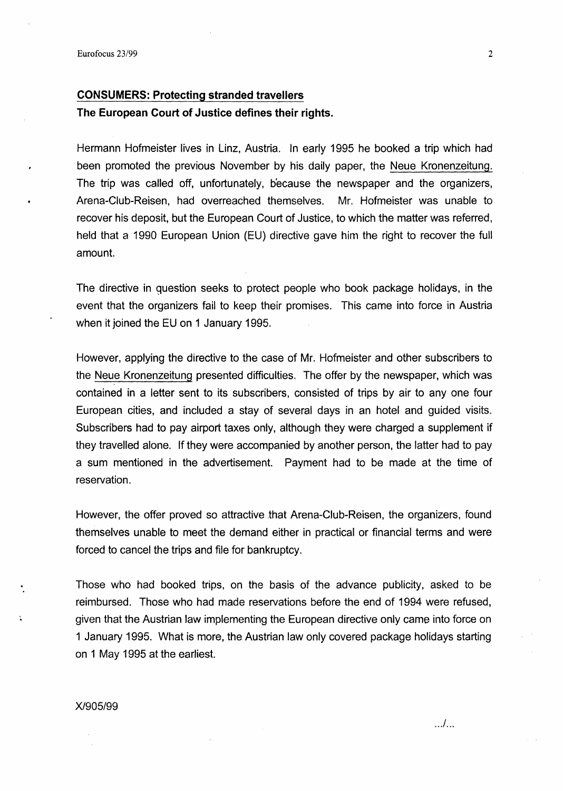## **CONSUMERS: Protecting stranded travellers The European Court of Justice defines their rights.**

Hermann Hofmeister lives in Linz, Austria. In early 1995 he booked a trip which had been promoted the previous November by his daily paper, the Neue Kronenzeitung. The trip was called off, unfortunately, because the newspaper and the organizers, Arena-Ciub-Reisen, had overreached themselves. Mr. Hofmeister was unable to recover his deposit, but the European Court of Justice, to which the matter was referred, held that a 1990 European Union (EU) directive gave him the right to recover the full amount.

The directive in guestion seeks to protect people who book package holidays, in the event that the organizers fail to keep their promises. This came into force in Austria when it joined the EU on 1 January 1995.

However, applying the directive to the case of Mr. Hofmeister and other subscribers to the Neue Kronenzeitung presented difficulties. The offer by the newspaper, which was contained in a letter sent to its subscribers, consisted of trips by air to any one four European cities, and included a stay of several days in an hotel and guided visits. Subscribers had to pay airport taxes only, although they were charged a supplement if they travelled alone. If they were accompanied by another person, the latter had to pay a sum mentioned in the advertisement. Payment had to be made at the time of reservation.

However, the offer proved so attractive that Arena-Club-Reisen, the organizers, found themselves unable to meet the demand either in practical or financial terms and were forced to cancel the trips and file for bankruptcy.

Those who had booked trips, on the basis of the advance publicity, asked to be reimbursed. Those who had made reservations before the end of 1994 were refused, given that the Austrian law implementing the European directive only came into force on 1 January 1995. What is more, the Austrian law only covered package holidays starting on 1 May 1995 at the earliest.

#### X/905/99

... / ...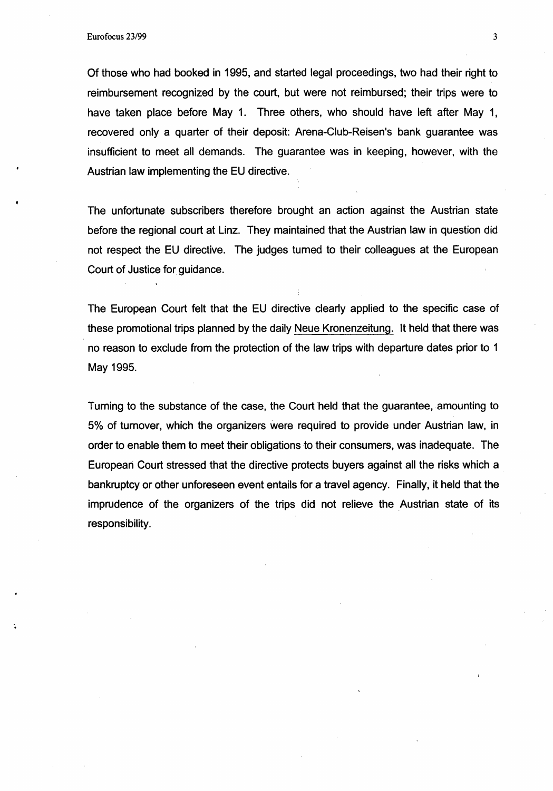Of those who had booked in 1995, and started legal proceedings, two had their right to reimbursement recognized by the court, but were not reimbursed; their trips were to have taken place before May 1. Three others, who should have left after May 1, recovered only a quarter of their deposit: Arena-Ciub-Reisen's bank guarantee was insufficient to meet all demands. The guarantee was in keeping, however, with the Austrian law implementing the EU directive.

The unfortunate subscribers therefore brought an action against the Austrian state before the regional court at Linz. They maintained that the Austrian law in question did not respect the EU directive. The judges turned to their colleagues at the European Court of Justice for guidance.

The European Court felt that the EU directive clearly applied to the specific case of these promotional trips planned by the daily Neue Kronenzeitung. It held that there was no reason to exclude from the protection of the law trips with departure dates prior to 1 May 1995.

Turning to the substance of the case, the Court held that the guarantee,. amounting to 5% of turnover, which the organizers were required to provide under Austrian law, in order to enable them to meet their obligations to their consumers, was inadequate. The European Court stressed that the directive protects buyers against all the risks which a bankruptcy or other unforeseen event entails for a travel agency. Finally, it held that the imprudence of the organizers of the trips did not relieve the Austrian state of its responsibility.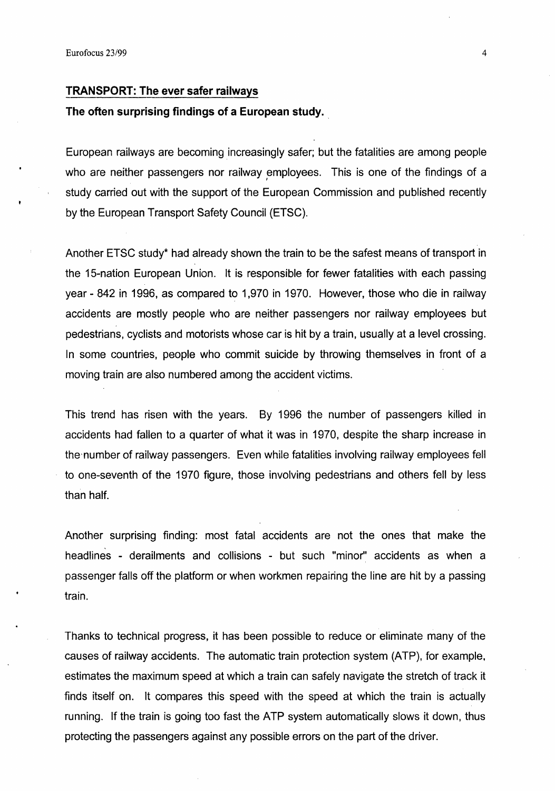#### **TRANSPORT: The ever safer railways**

### **The often surprising findings of a European study .** .

European railways are becoming increasingly safer; but the fatalities are among people who are neither passengers nor railway employees. This is one of the findings of a study carried out with the support of the European Commission and published recently by the European Transport Safety Council (ETSC).

Another ETSC study\* had already shown the train to be the safest means of transport in the 15-nation European Union. It is responsible for fewer fatalities with each passing year - 842 in 1996, as compared to 1,970 in 1970. However, those who die in railway accidents are mostly people who are neither passengers nor railway employees but pedestrians, cyclists and motorists whose car is hit by a train, usually at a level crossing. In some countries, people who commit suicide by throwing themselves in front of a moving train are also numbered among the accident victims.

This trend has risen with the years. By 1996 the number of passengers killed in accidents had fallen to a quarter of what it was in 1970, despite the sharp increase in the, number of railway passengers. Even while fatalities involving railway employees fell to one-seventh of the 1970 figure, those involving pedestrians and others fell by less than half.

Another surprising finding: most fatal accidents are not the ones that make the headlines - derailments and collisions - but such "minor" accidents as when a passenger falls off the platform or when workmen repairing the line are hit by a passing train.

Thanks to technical progress, it has been possible to reduce or eliminate many of the causes of railway accidents. The automatic train protection system (ATP), for example, estimates the maximum speed at which a train can safely navigate the stretch of track it finds itself on. It compares this speed with the speed at which the train is actually running. If the train is going too fast the ATP system automatically slows it down, thus protecting the passengers against any possible errors on the part of the driver.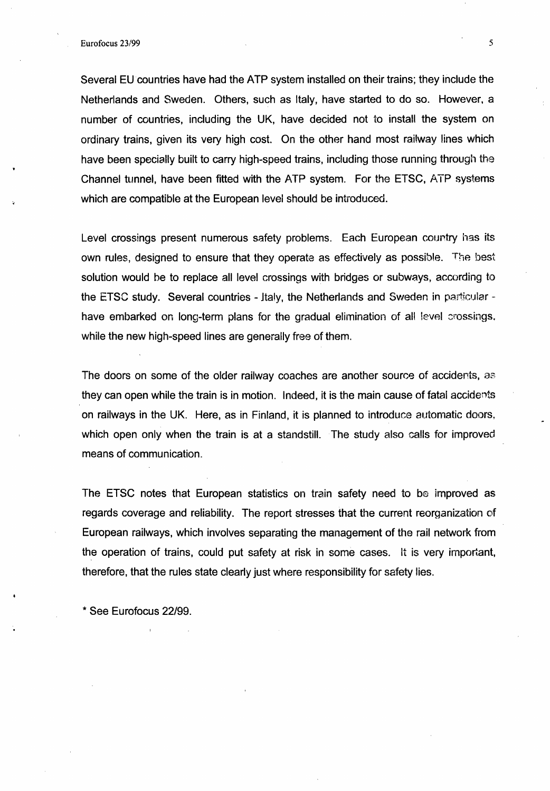Several EU 'countries have had the ATP system installed on their trains; they include the Netherlands and Sweden. Others, such as Italy, have started to do so. However, a number of countries, including the UK, have decided not to install the system on ordinary trains, given its very high cost. On the other hand most railway lines which have been specially built to carry high-speed trains, including those running through the Channel tunnel, have been fitted with the ATP system. For the ETSC, ATP systems which are compatible at the European level should be introduced.

Level crossings present numerous safety problems. Each European country has its own rules, designed to ensure that they operate as effectively as possible. The best solution would be to replace all level crossings with bridges or subways, according to the ETSC study. Several countries - Italy, the Netherlands and Sweden in particular have embarked on long-term plans for the gradual elimination of all level crossings. while the new high-speed lines are generally free of them.

The doors on some of the older railway coaches are another source of accidents, as they can open while the train is in motion. Indeed, it is the main cause of fatal accidents on railways in the UK. Here, as in Finland, it is planned to introduce automatic doors, which open only when the train is at a standstill. The study also calls for improved means of communication.

The ETSC notes that European statistics on train safety need to be improved as regards coverage and reliability. The report stresses that the current reorganization of European railways, which involves separating the management of the rail network from the operation of trains, could put safety at risk in some cases. It is very important, therefore, that the rules state clearly just where responsibility for safety lies.

\* See Eurofocus 22/99.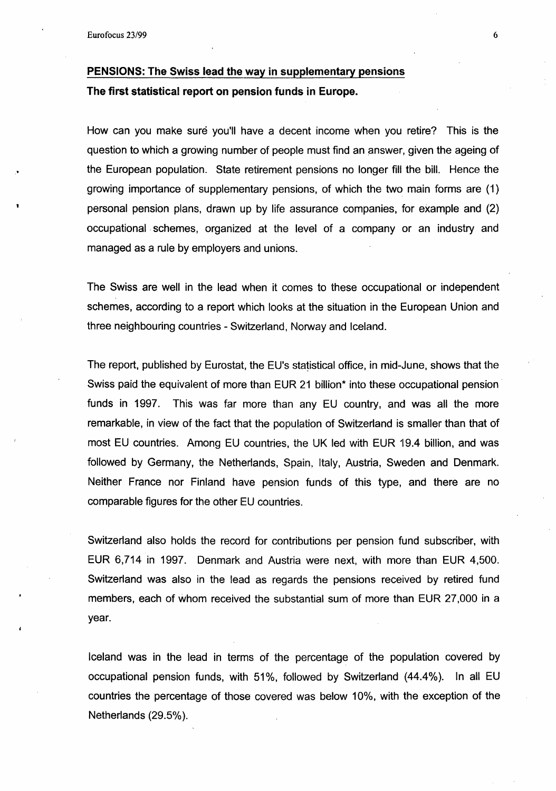# PENSIONS: The Swiss lead the way in supplementary pensions The first statistical report on pension funds in Europe.

How can you make sure you'll have a decent income when you retire? This is the question to which a growing number of people must find an answer, given the ageing of the European population. State retirement pensions no longer fill the bill. Hence the growing importance of supplementary pensions, of which the two main forms are (1) personal pension plans, drawn up by life assurance companies, for example and (2) occupational . schemes, organized at the level of a company or an industry and managed as a rule by employers and unions.

The Swiss are well in the lead when it comes to these occupational or independent schemes, according to a report which looks at the situation in the European Union and three neighbouring countries- Switzerland, Norway and Iceland.

The report, published by Eurostat, the EU's statistical office, in mid-June, shows that the Swiss paid the equivalent of more than EUR 21 billion<sup>\*</sup> into these occupational pension funds in 1997. This was far more than any EU country, and was all the more remarkable, in view of the fact that the population of Switzerland is smaller than that of most EU countries. Among EU countries, the UK led with EUR 19.4 billion, and was followed by Germany, the Netherlands, Spain, Italy, Austria, Sweden and Denmark. Neither France nor Finland have pension funds of this type, and there are no comparable figures for the other EU countries.

Switzerland also holds the record for contributions per pension fund subscriber, with EUR 6,714 in 1997. Denmark and Austria were next, with more than EUR 4,500. Switzerland was also in the lead as regards the pensions received by retired fund members, each of whom received the substantial sum of more than EUR 27,000 in a year.

Iceland was in the lead in terms of the percentage of the population covered by occupational pension funds, with  $51\%$ , followed by Switzerland  $(44.4\%)$ . In all EU countries the percentage of those covered was below 10%, with the exception of the Netherlands (29.5%).

6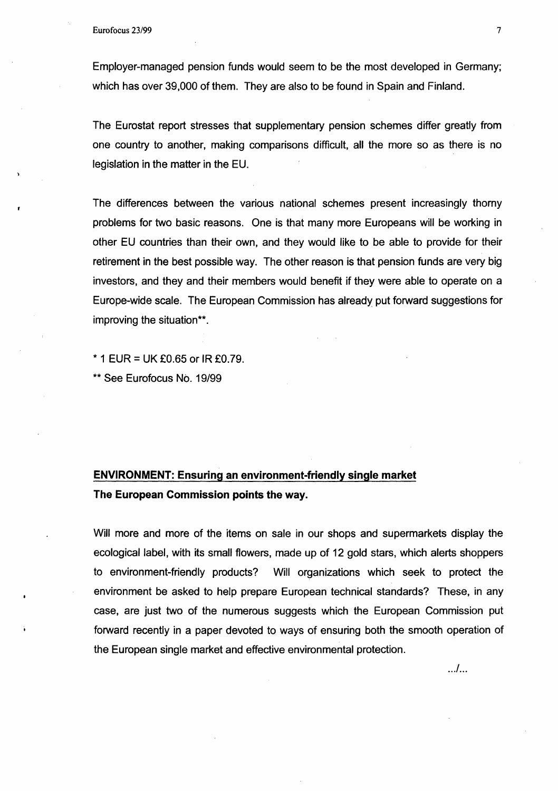Employer-managed pension funds would seem to be the most developed in Germany; which has over 39,000 of them. They are also to be found in Spain and Finland.

The Eurostat report stresses that supplementary pension schemes differ greatly from one country to another, making comparisons difficult, all the more so as there is no legislation in the matter in the EU.

The differences between the various national schemes present increasingly thorny problems for two basic reasons. One is that many more Europeans will be working in other EU countries than their own, and they would like to be able to provide for their retirement in the best possible way. The other reason is that pension funds are very big investors, and they and their members would benefit if they were able to operate on a Europe-wide scale. The European Commission has already put forward suggestions for improving the situation\*\*.

 $*$  1 EUR = UK £0.65 or IR £0.79.

\*\*See Eurofocus No. 19/99

# **ENVIRONMENT: Ensuring an environment-friendly single market The European Commission points the way.**

Will more and more of the items on sale in our shops and supermarkets display the ecological label, with its small flowers, made up of 12 gold stars, which alerts shoppers to environment-friendly products? Will organizations which seek to protect the environment be asked to help prepare European technical standards? These, in any case, are just two of the numerous suggests which the European Commission put forward recently in a paper devoted to ways of ensuring both the smooth operation of the European single market and effective environmental protection.

. .. / ...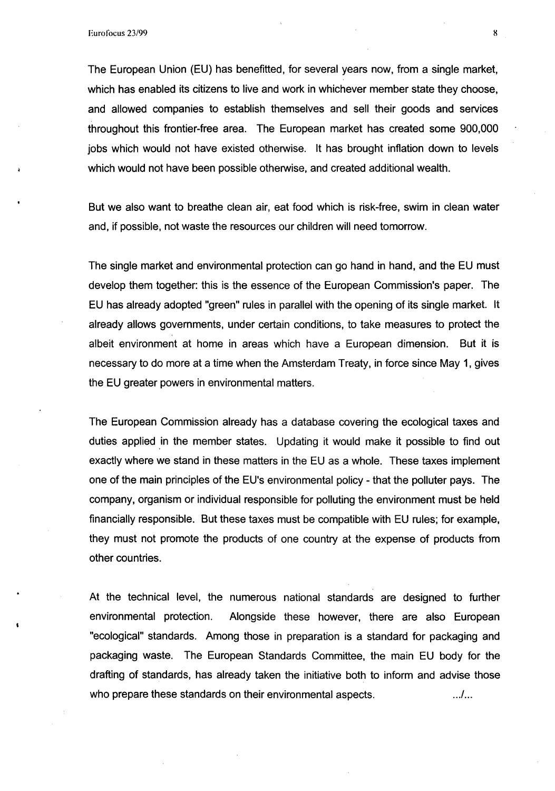The European Union (EU) has benefitted, for several years now, from a single market, which has enabled its citizens to live and work in whichever member state they choose, and allowed companies to establish themselves and sell their goods and services throughout this frontier-free area. The European market has created some 900,000 jobs which would not have existed otherwise. It has brought inflation down to levels which would not have been possible otherwise, and created additional wealth.

But we also want to breathe clean air, eat food which is risk-free, swim in clean water and, if possible, not waste the resources our children will need tomorrow.

The single market and environmental protection can go hand in hand, and the EU must develop them together: this is the essence of the European Commission's paper. The EU has already adopted "green" rules in parallel with the opening of its single market. It already allows governments, under certain conditions, to take measures to protect the albeit environment at home in areas which have a European dimension. But it is necessary to do more at a time when the Amsterdam Treaty, in force since May 1, gives the EU greater powers in environmental matters.

The European Commission already has a database covering the ecological taxes and duties applied in the member states. Updating it would make it possible to find out exactly where we stand in these matters in the EU as a whole. These taxes implement one of the main principles of the EU's environmental policy - that the polluter pays. The company, organism or individual responsible for polluting the environment must be held financially responsible. But these taxes must be compatible with EU rules; for example, they must not promote the products of one country at the expense of products from other countries.

At the technical level, the numerous national standards are designed to further environmental protection. Alongside these however, there are also European "ecological" standards. Among those in preparation is a standard for packaging and packaging waste. The European Standards Committee, the main EU body for the drafting of standards, has already taken the initiative both to inform and advise those who prepare these standards on their environmental aspects. . . ./ ...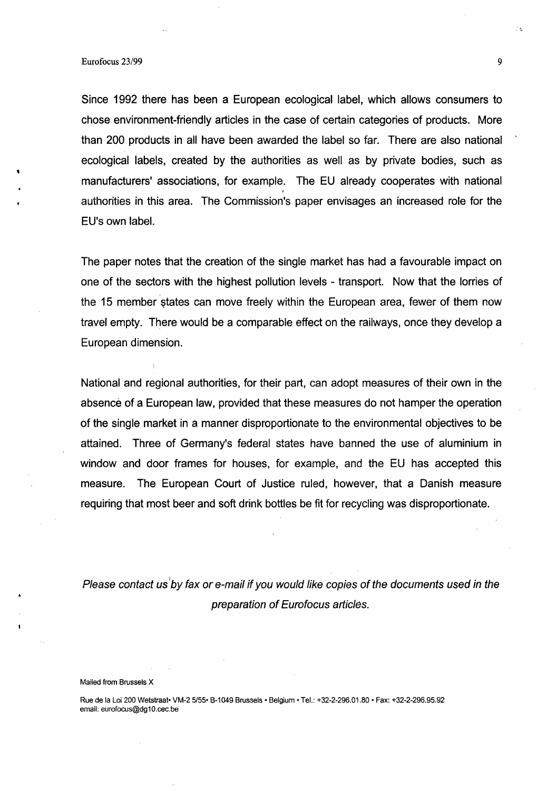Since 1992 there has been a European ecological label, which allows consumers to chose environment-friendly articles in the case of certain categories of products. More than 200 products in all have been awarded the label so far. There are also national ecological labels, created by the authorities as well as by private bodies, such as manufacturers' associations, for example. The EU already cooperates with national *1*  authorities in this area. The Commission's paper envisages an increased role for the EU's own label.

The paper notes that the creation of the single market has had a favourable impact on one of the sectors with the highest pollution levels - transport. Now that the lorries of the 15 member states can move freely within the European area, fewer of them now travel empty. There would be a comparable effect on the railways, once they develop a European dimension.

National and regional authorities, for their part, can adopt measures of their own in the absence of a European law, provided that these measures do not hamper the operation of the single market in a manner disproportionate to the environmental objectives to be attained. Three of Germany's federal states have banned the use of aluminium in window and door frames for houses, for example, and the EU has accepted this measure. The European Court of Justice ruled, however, that a Danish measure requiring that most beer and soft drink bottles be fit for recycling was disproportionate.

Please contact us by fax or e-mail if you would like copies of the documents used in the preparation of Eurofocus articles.

#### Mailed from Brussels X

Rue de Ia Loi 200 Wetstraat• VM-2 5/55• S-1049 Brussels • Belgium • Tel.: +32-2-296.01.80 • Fax: +32-2-296.95.92 email: eurofocus@dg10.cec.be